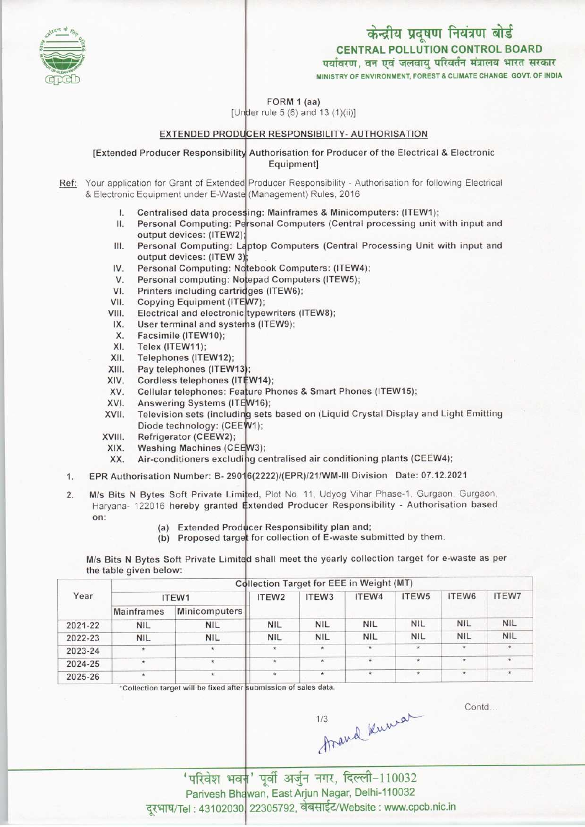# CENTRAL POLLUTION CONTROL BOARD केन्द्रीय प्रदूषण नियंत्रण बोर्ड

पर्यावरण, वन एवं जलवाय परिवर्तन मंत्रालय भारत सरकार MINISTRY OF ENVIRONMENT, FOREST & CLIMATE CHANGE GOVT. OF INDIA

FORM 1 (aa)

[Under rule 5 (6) and 13  $(1)(ii)$ ]

### <u>EXTENDED PRODUCER RESPONSIBILITY- AUTHORISATION</u>

[Extended Producer Responsibility Authorisation for Producer of the Electrical & Electronic Equipment]

Ref: Your application for Grant of Extended Producer Responsibility - Authorisation for following Electrica & Electronic Equipment under E-Waste (Management) Rules, 2016

- l. Centralised data process<mark>ing: Mainframes & Minicomputers: (ITEW1)</mark>;
- II. Personal Computing: Personal Computers (Central processing unit with input and II. Personal Computing: F<br>
output devices: (ITEW2<br>
III. Personal Computing: L<br>
output devices: (ITEW)
- Personal Computing: Laptop Computers (Central Processing Unit with input and the Computing: Laptop Computers (Central Protection<br>
IV. Personal Computing: Notebook Computers: (ITEW4);<br>
V. Personal computing: Notebook Computers (ITEW4); output devices: (ITEW 3):
- V. Personal Computing: N.<br>V. Personal computing: N.<br>V. Personal computing: N.
- Personal computing: Notepad Computers (ITEW5);
- VI. Printers including cartridges (ITEW6);
- V. Personal computing. Notepa<br>VII. Copying Equipment (ITEW7);<br>VIII. Electrical and electronic type VI. Frinters including cards<br>VII. Electrical and electronic<br>VI. Electrical and electronic
- Electrical and electronic typewriters (ITEW8);
- The Copying Equipment (TEWY);<br>III. Electrical and electronic typewriters<br>IX. User terminal and systems (ITEW9); ii. Electrical and electrical<br>X. User terminal and s<br>X. Facsimile (ITEW10);<br>X. Telex (ITEW11);
- IX. User terminal and sy<br>X. Facsimile (ITEW10);<br>XI. Telex (ITEW11);<br>XII. Telephones (ITEW12
- 
- 
- XII. Telephones (ITEW12);<br>XIII. Pay telephones (ITEW
- XII. Felephones (ITEW12);<br>XIII. Pay telephones (ITEW13);<br>XIV. Cordless telephones (ITEW14); XIII. Pay telephones (ITEW13);<br>XIV. Cordiess telephones (ITEV XIV. Cordless telephones (IT.<br>XV. Cellular telephones: Fea<br>XV. Assuccing Sustang (ITE
- XIV. Cordiess telephones (ITEW14);<br>XV. Cellular telephones: Feature Phones & Smart Phones (ITEW15);<br>XVI. Answering Systems (ITEW16);<br>XVII. Television sets (including sets based on (Liquid Crystal Display
- W16);
- Television sets (including sets based on (Liquid Crystal Display and Light Emitting Diode technology: (CEEW1); XVI. Cellular telephones: Fea<br>XVII. Answering Systems (IT<br>XVII. Television sets (includii XVII. Television sets (include<br>Diode technology: (CE<br>XVIII. Refrigerator (CEEW2);<br>XIX. Washing Machines (CI
- 
- XIX. Washing Machines (CEEW3);<br>XX. Air-conditioners excluding ce
- viii. Kerrigerator (CEEW2);<br>KIX. Washing Machines (CEEW3);<br>XX. Air-conditioners excluding centralised air conditioning plants (CEEW4);
- XX. Washing Machines (CEEW3),<br>XX. Air-conditioners excluding centralised air conditioning plants (CEEW4);<br>1. EPR Authorisation Number: B- 29016(2222)/(EPR)/21/WM-III Division Date: 07.12.2021
- 1. EPR Authorisation Number: B- 290<br>2. M/s Bits N Bytes Soft Private Lin<br>Harvana- 122016 bereby granted M/s Bits N Bytes Soft Private Limited, Plot No. 11, Udyog Vihar Phase-1, Gurgaon, Gurgaon, Haryana- 122016 hereby granted Extended Producer Responsibility - Authorisation based on:
	- (a) Extended Producer Responsibility plan and;
	- (a) Extended Producer Responsibility plan and;<br>(b) Proposed target for collection of E-waste submitted by them.

M/s Bits N Bytes Soft Private Limited shall meet the yearly collection target for e-waste as per the table given below:

|         |                   |               |                   | <b>Collection Target for EEE in Weight (MT)</b> |                     |                   |             |                |
|---------|-------------------|---------------|-------------------|-------------------------------------------------|---------------------|-------------------|-------------|----------------|
| Year    | ITEW1             |               | ITEW <sub>2</sub> | ITEW <sub>3</sub>                               | ITEW4               | ITEW <sub>5</sub> | ITEW6       | <b>ITEW7</b>   |
|         | <b>Mainframes</b> | Minicomputers |                   |                                                 |                     |                   |             |                |
| 2021-22 | <b>NIL</b>        | <b>NIL</b>    | <b>NIL</b>        | <b>NIL</b>                                      | <b>NIL</b>          | <b>NIL</b>        | <b>NIL</b>  | <b>NIL</b>     |
| 2022-23 | <b>NIL</b>        | <b>NIL</b>    | <b>NIL</b>        | <b>NIL</b>                                      | <b>NIL</b>          | <b>NIL</b>        | <b>NIL</b>  | <b>NIL</b>     |
| 2023-24 | $\star$           | $\star$       | $\star$           | $\star$                                         | $\star$             | $\star$           | $\pmb{\pi}$ | $\pmb{\times}$ |
| 2024-25 | $\pmb{\star}$     | $\star$       | $\star$           | $\star$                                         | $\star$             |                   | $\star$     | $\star$        |
| 2025-26 |                   | $\star$       | $\star$           | $\star$                                         | $\hat{\mathcal{H}}$ | $\star$           | $\star$     | $\pmb{\kappa}$ |

\*Collection target will be fixed after submission of sales data.

Contd...

1/3 Arand Knewar

'परिवेश भवन' पूर्वी अर्जुन नगर, दिल्ली-110032 Parivesh Bhawan, East Arjun Nagar, Delhi-110032 दूरभाष/Tel: 43102030 22305792, वेबसाईट/Website : www.cpcb.nic.in

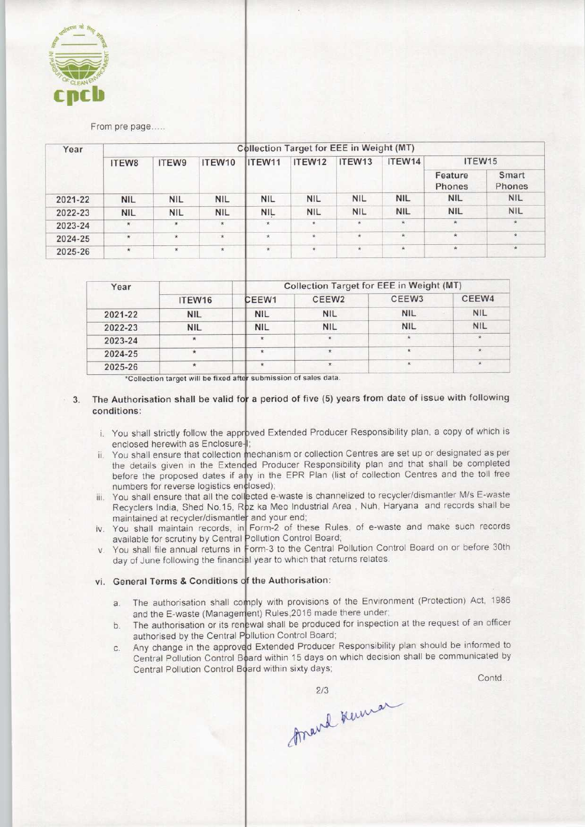

#### From pre page.....

| Year    | <b>Collection Target for EEE in Weight (MT)</b> |            |            |            |            |            |            |                    |                 |  |  |
|---------|-------------------------------------------------|------------|------------|------------|------------|------------|------------|--------------------|-----------------|--|--|
|         | ITEW8                                           | ITEW9      | ITEW10     | IITEW11    | ITEW12     | ITEW13     | ITEW14     | ITEW15             |                 |  |  |
|         |                                                 |            |            |            |            |            |            | Feature<br>Phones  | Smart<br>Phones |  |  |
| 2021-22 | <b>NIL</b>                                      | <b>NIL</b> | <b>NIL</b> | <b>NIL</b> | <b>NIL</b> | <b>NIL</b> | <b>NIL</b> | <b>NIL</b>         | <b>NIL</b>      |  |  |
| 2022-23 | <b>NIL</b>                                      | <b>NIL</b> | <b>NIL</b> | <b>NIL</b> | <b>NIL</b> | <b>NIL</b> | <b>NIL</b> | <b>NIL</b>         | <b>NIL</b>      |  |  |
| 2023-24 | $\hat{\mathbf{x}}$                              | $\star$    | $\star$    | $\star$    | $^\star$   | $\star$    | $\star$    | $\star$            |                 |  |  |
| 2024-25 | $\star$                                         | $\star$    | $\star$    | 東          | $\star$    | $\star$    | $\star$    | $\dot{\mathbf{x}}$ | $\star$         |  |  |
| 2025-26 | $\star$                                         | $\star$    | $\star$    | $\star$    | $\star$    | $\star$    | $\star$    | $\star$            | $\star$         |  |  |

| Year    |            | Collection Target for EEE in Weight (MT) |                   |                   |            |  |  |  |
|---------|------------|------------------------------------------|-------------------|-------------------|------------|--|--|--|
|         | ITEW16     | CEEW1                                    | CEEW <sub>2</sub> | CEEW <sub>3</sub> | CEEW4      |  |  |  |
| 2021-22 | <b>NIL</b> | <b>NIL</b>                               | <b>NIL</b>        | <b>NIL</b>        | <b>NIL</b> |  |  |  |
| 2022-23 | <b>NIL</b> | <b>NIL</b>                               | <b>NIL</b>        | <b>NIL</b>        | <b>NIL</b> |  |  |  |
| 2023-24 | ÷          | ÷                                        | ŵ.                |                   | $\star$    |  |  |  |
| 2024-25 |            |                                          |                   |                   | $\star$    |  |  |  |
| 2025-26 |            |                                          | *                 |                   | $\star$    |  |  |  |

\*Collection target will be fixed aft

- 3. The Authorisation shall be valid for a period of five (5) years from date of issue with following conditions:
	- You shall strictly follow the approved Extended Producer Responsibility plan, a copy of which is enclosed herewith as Enclosure
	- You shall ensure that collection mechanism or collection Centres are set up or designated as per the details given in the Extended Producer Responsibility plan and that shall be completed before the proposed dates if any in the EPR Plan (list of collection Centres and the toll free numbers for reverse logistics enclosed);
	- You shall ensure that all the collected e-waste is channelized to recycler/dismantler M/s E-waste Recyclers India, Shed No.15, Roz ka Meo Industrial Area, Nuh, Haryana and records shall be maintained at recycler/dismantle and your end
	- You shall maintain records, in Form-2 of these Rules, of e-waste and make such records available for scrutiny by Central Pollution Control Board
	- You shall file annual returns in Form-3 to the Central Pollution Control Board on or before 30th day of June following the financial year to which that returns relates.

## General Terms & Conditions of the Authorisation:

- The authorisation shall comply with provisions of the Environment (Protection) Act, 1986  $a<sub>x</sub>$ and the E-waste (Management) Rules,2016 made there under
- The authorisation or its renewal shall be produced for inspection at the request of an officer  $b$ . authorised by the Central Pollution Control Board
- Any change in the approved Extended Producer Responsibility plan should be informed to C. Central Pollution Control Board within 15 days on which decision shall be communicated by Central Pollution Control Board within sixty days

Contd...

2/3 kenner